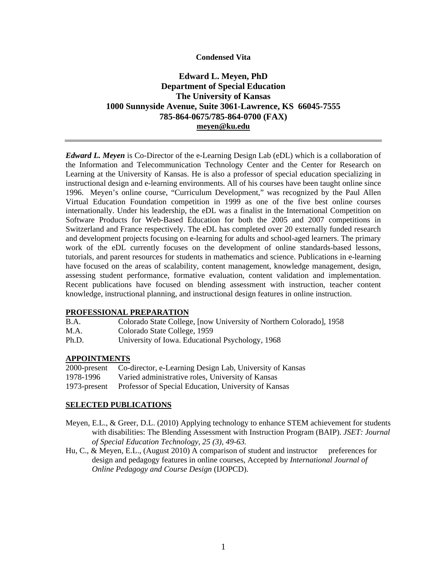### **Condensed Vita**

# **Edward L. Meyen, PhD Department of Special Education The University of Kansas 1000 Sunnyside Avenue, Suite 3061-Lawrence, KS 66045-7555 785-864-0675/785-864-0700 (FAX) meyen@ku.edu**

*Edward L. Meyen* is Co-Director of the e-Learning Design Lab (eDL) which is a collaboration of the Information and Telecommunication Technology Center and the Center for Research on Learning at the University of Kansas. He is also a professor of special education specializing in instructional design and e-learning environments. All of his courses have been taught online since 1996. Meyen's online course, "Curriculum Development," was recognized by the Paul Allen Virtual Education Foundation competition in 1999 as one of the five best online courses internationally. Under his leadership, the eDL was a finalist in the International Competition on Software Products for Web-Based Education for both the 2005 and 2007 competitions in Switzerland and France respectively. The eDL has completed over 20 externally funded research and development projects focusing on e-learning for adults and school-aged learners. The primary work of the eDL currently focuses on the development of online standards-based lessons, tutorials, and parent resources for students in mathematics and science. Publications in e-learning have focused on the areas of scalability, content management, knowledge management, design, assessing student performance, formative evaluation, content validation and implementation. Recent publications have focused on blending assessment with instruction, teacher content knowledge, instructional planning, and instructional design features in online instruction.

# **PROFESSIONAL PREPARATION**

- B.A. Colorado State College, [now University of Northern Colorado], 1958
- M.A. Colorado State College, 1959
- Ph.D. University of Iowa. Educational Psychology, 1968

#### **APPOINTMENTS**

| 2000-present | Co-director, e-Learning Design Lab, University of Kansas          |
|--------------|-------------------------------------------------------------------|
| 1978-1996    | Varied administrative roles, University of Kansas                 |
|              | 1973-present Professor of Special Education, University of Kansas |

# **SELECTED PUBLICATIONS**

- Meyen, E.L., & Greer, D.L. (2010) Applying technology to enhance STEM achievement for students with disabilities: The Blending Assessment with Instruction Program (BAIP). *JSET: Journal of Special Education Technology, 25 (3), 49-63.*
- Hu, C., & Meyen, E.L., (August 2010) A comparison of student and instructor preferences for design and pedagogy features in online courses, Accepted by *International Journal of Online Pedagogy and Course Design* (IJOPCD).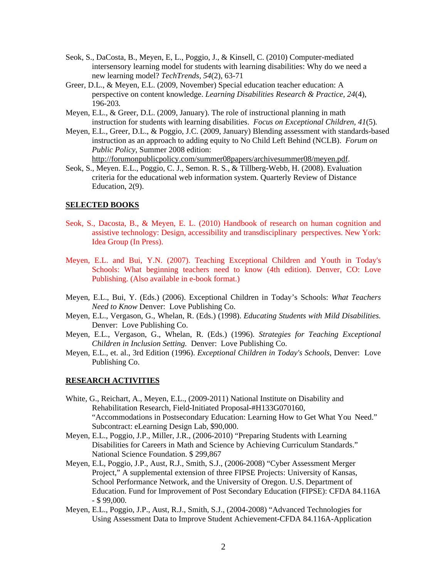- Seok, S., DaCosta, B., Meyen, E, L., Poggio, J., & Kinsell, C. (2010) Computer-mediated intersensory learning model for students with learning disabilities: Why do we need a new learning model? *TechTrends, 54*(2), 63-71
- Greer, D.L., & Meyen, E.L. (2009, November) Special education teacher education: A perspective on content knowledge. *Learning Disabilities Research & Practice, 24*(4), 196-203*.*
- Meyen, E.L., & Greer, D.L. (2009, January). The role of instructional planning in math instruction for students with learning disabilities. *Focus on Exceptional Children, 41*(5)*.*
- Meyen, E.L., Greer, D.L., & Poggio, J.C. (2009, January) Blending assessment with standards-based instruction as an approach to adding equity to No Child Left Behind (NCLB). *Forum on Public Policy*, Summer 2008 edition: http://forumonpublicpolicy.com/summer08papers/archivesummer08/meyen.pdf.
- Seok, S., Meyen. E.L., Poggio, C. J., Semon. R. S., & Tillberg-Webb, H. (2008). Evaluation criteria for the educational web information system. Quarterly Review of Distance Education, 2(9).

# **SELECTED BOOKS**

- Seok, S., Dacosta, B., & Meyen, E. L. (2010) Handbook of research on human cognition and assistive technology: Design, accessibility and transdisciplinary perspectives. New York: Idea Group (In Press).
- Meyen, E.L. and Bui, Y.N. (2007). Teaching Exceptional Children and Youth in Today's Schools: What beginning teachers need to know (4th edition). Denver, CO: Love Publishing. (Also available in e-book format.)
- Meyen, E.L., Bui, Y. (Eds.) (2006). Exceptional Children in Today's Schools: *What Teachers Need to Know* Denver: Love Publishing Co.
- Meyen, E.L., Vergason, G., Whelan, R. (Eds.) (1998). *Educating Students with Mild Disabilities.* Denver: Love Publishing Co.
- Meyen, E.L., Vergason, G., Whelan, R. (Eds.) (1996). *Strategies for Teaching Exceptional Children in Inclusion Setting.* Denver: Love Publishing Co.
- Meyen, E.L., et. al., 3rd Edition (1996). *Exceptional Children in Today's Schools,* Denver: Love Publishing Co.

#### **RESEARCH ACTIVITIES**

- White, G., Reichart, A., Meyen, E.L., (2009-2011) National Institute on Disability and Rehabilitation Research, Field-Initiated Proposal-#H133G070160, "Accommodations in Postsecondary Education: Learning How to Get What You Need." Subcontract: eLearning Design Lab, \$90,000.
- Meyen, E.L., Poggio, J.P., Miller, J.R., (2006-2010) "Preparing Students with Learning Disabilities for Careers in Math and Science by Achieving Curriculum Standards." National Science Foundation. \$ 299,867
- Meyen, E.L, Poggio, J.P., Aust, R.J., Smith, S.J., (2006-2008) "Cyber Assessment Merger Project," A supplemental extension of three FIPSE Projects: University of Kansas, School Performance Network, and the University of Oregon. U.S. Department of Education. Fund for Improvement of Post Secondary Education (FIPSE): CFDA 84.116A - \$ 99,000.
- Meyen, E.L., Poggio, J.P., Aust, R.J., Smith, S.J., (2004-2008) "Advanced Technologies for Using Assessment Data to Improve Student Achievement-CFDA 84.116A-Application